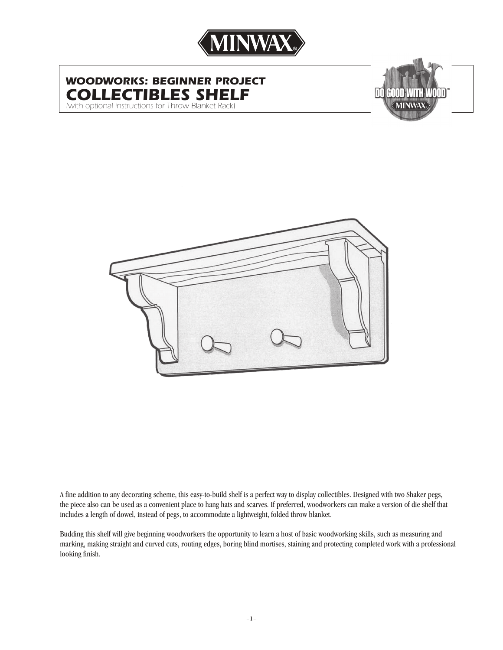

# *WOODWORKS: BEGINNER PROJECT COLLECTIBLES SHELF*

*(with optional instructions for Throw Blanket Rack)*





A fine addition to any decorating scheme, this easy-to-build shelf is a perfect way to display collectibles. Designed with two Shaker pegs, the piece also can be used as a convenient place to hang hats and scarves. If preferred, woodworkers can make a version of die shelf that includes a length of dowel, instead of pegs, to accommodate a lightweight, folded throw blanket.

Budding this shelf will give beginning woodworkers the opportunity to learn a host of basic woodworking skills, such as measuring and marking, making straight and curved cuts, routing edges, boring blind mortises, staining and protecting completed work with a professional looking finish.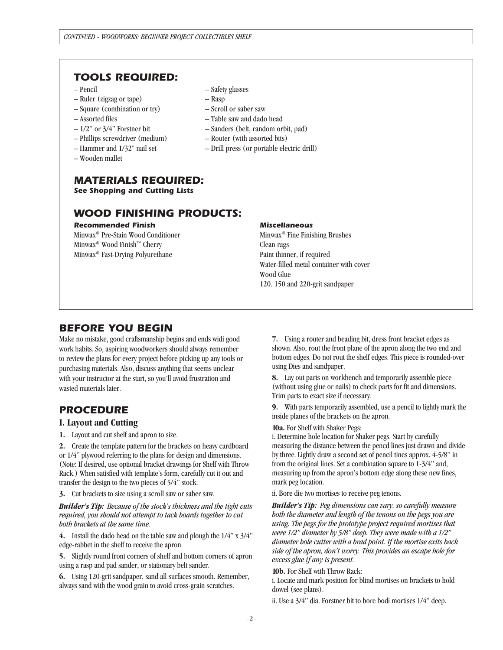### *TOOLS REQUIRED:*

- Pencil
- Ruler (zigzag or tape)
- Square (combination or try)
- Assorted files
- 1/2" or 3/4" Forstner bit
- Phillips screwdriver (medium)
- Hammer and 1/32" nail set
- Wooden mallet

#### *MATERIALS REQUIRED: See Shopping and Cutting Lists*

## *WOOD FINISHING PRODUCTS:*

#### *Recommended Finish*

Minwax® Pre-Stain Wood Conditioner Minwax® Wood Finish™ Cherry Minwax® Fast-Drying Polyurethane

#### – Safety glasses

- Rasp
- Scroll or saber saw
- Table saw and dado head
- Sanders (belt, random orbit, pad)
- Router (with assorted bits)
- Drill press (or portable electric drill)

#### *Miscellaneous*

Minwax® Fine Finishing Brushes Clean rags Paint thinner, if required Water-filled metal container with cover Wood Glue 120. 150 and 220-grit sandpaper

### *BEFORE YOU BEGIN*

Make no mistake, good craftsmanship begins and ends widi good work habits. So, aspiring woodworkers should always remember to review the plans for every project before picking up any tools or purchasing materials. Also, discuss anything that seems unclear with your instructor at the start, so you'll avoid frustration and wasted materials later.

### *PROCEDURE*

#### **I. Layout and Cutting**

**1.** Layout and cut shelf and apron to size.

**2.** Create the template pattern for the brackets on heavy cardboard or 1/4" plywood referring to the plans for design and dimensions. (Note: If desired, use optional bracket drawings for Shelf with Throw Rack.) When satisfied with template's form, carefully cut it out and transfer the design to the two pieces of 5/4" stock.

**3.** Cut brackets to size using a scroll saw or saber saw.

*Builder's Tip: Because of the stock's thickness and the tight cuts required, you should not attempt to tack boards together to cut both brackets at the same time.*

**4.** Install the dado head on the table saw and plough the 1/4" x 3/4" edge-rabbet in the shelf to receive the apron.

**5.** Slightly round front corners of shelf and bottom corners of apron using a rasp and pad sander, or stationary belt sander.

**6.** Using 120-grit sandpaper, sand all surfaces smooth. Remember, always sand with the wood grain to avoid cross-grain scratches.

**7.** Using a router and beading bit, dress front bracket edges as shown. Also, rout the front plane of the apron along the two end and bottom edges. Do not rout the shelf edges. This piece is rounded-over using Dies and sandpaper.

**8.** Lay out parts on workbench and temporarily assemble piece (without using glue or nails) to check parts for fit and dimensions. Trim parts to exact size if necessary.

**9.** With parts temporarily assembled, use a pencil to lightly mark the inside planes of the brackets on the apron.

**10a.** For Shelf with Shaker Pegs:

i. Determine hole location for Shaker pegs. Start by carefully measuring the distance between the pencd lines just drawn and divide by three. Lightly draw a second set of pencil tines approx. 4-5/8" in from the original lines. Set a combination square to 1-3/4" and, measuring up from the apron's bottom edge along these new fines, mark peg location.

ii. Bore die two mortises to receive peg tenons.

*Builder's Tip: Peg dimensions can vary, so carefully measure both the diameter and length of the tenons on the pegs you are using. The pegs for the prototype project required mortises that were 1/2" diameter by 5/8" deep. They were made with a 1/2" diameter hole cutter with a brad point. If the mortise exits back side of the apron, don't worry. This provides an escape hole for excess glue if any is present.*

**10b.** For Shelf with Throw Rack:

i. Locate and mark position for blind mortises on brackets to hold dowel (see plans).

ii. Use a 3/4" dia. Forstner bit to bore bodi mortises 1/4" deep.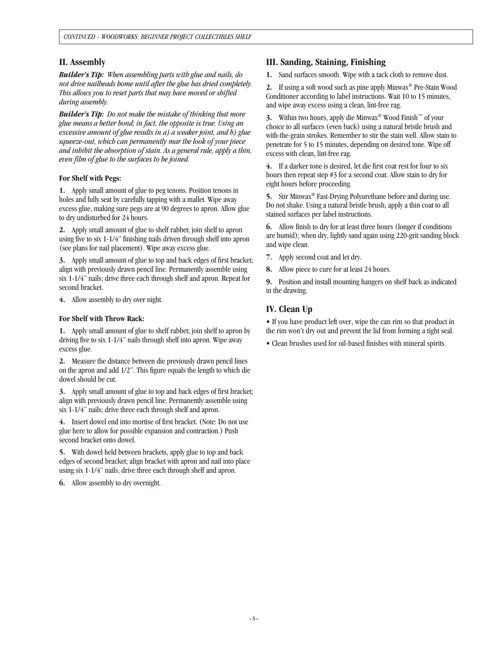### **II. Assembly**

*Builder's Tip: When assembling parts with glue and nails, do not drive nailheads home until after the glue has dried completely. This allows you to reset parts that may have moved or shifted during assembly.*

*Builder's Tip: Do not make the mistake of thinking that more glue means a better bond; in fact, the opposite is true. Using an excessive amount of glue results in a) a weaker joint, and b) glue squeeze-out, which can permanently mar the look of your piece and inhibit the absorption of stain. As a general rule, apply a thin, even film of glue to the surfaces to be joined.*

#### **For Shelf with Pegs:**

**1.** Apply small amount of glue to peg tenons. Position tenons in holes and fully seat by carefully tapping with a mallet. Wipe away excess glue, making sure pegs are at 90 degrees to apron. Allow glue to dry undisturbed for 24 hours.

**2.** Apply small amount of glue to shelf rabbet; join shelf to apron using five to six 1-1/4" finishing nails driven through shelf into apron (see plans for nail placement). Wipe away excess glue.

**3.** Apply small amount of glue to top and back edges of first bracket; align with previously drawn pencil line. Permanently assemble using six 1-1/4" nails; drive three each through shelf and apron. Repeat for second bracket.

**4.** Allow assembly to dry over night.

#### **For Shelf with Throw Rack:**

**1.** Apply small amount of glue to shelf rabbet; join shelf to apron by driving five to six 1-1/4" nails through shelf into apron. Wipe away excess glue.

**2.** Measure the distance between die previously drawn pencil lines on the apron and add 1/2". This figure equals the length to which die dowel should be cut.

**3.** Apply small amount of glue to top and back edges of first bracket; align with previously drawn pencil line. Permanently assemble using six 1-1/4" nails; drive three each through shelf and apron.

**4.** Insert dowel end into mortise of first bracket. (Note: Do not use glue here to allow for possible expansion and contraction.) Push second bracket onto dowel.

**5.** With dowel held between brackets, apply glue to top and back edges of second bracket; align bracket with apron and nail into place using six 1-1/4" nails; drive three each through shelf and apron.

**6.** Allow assembly to dry overnight.

### **III. Sanding, Staining, Finishing**

**1.** Sand surfaces smooth. Wipe with a tack cloth to remove dust.

**2.** If using a soft wood such as pine apply Minwax® Pre-Stain Wood Conditioner according to label instructions. Wait 10 to 15 minutes, and wipe away excess using a clean, lint-free rag.

**3.** Within two hours, apply die Minwax® Wood Finish™ of your choice to all surfaces (even back) using a natural bristle brush and with-the-grain strokes. Remember to stir the stain well. Allow stain to penetrate for 5 to 15 minutes, depending on desired tone. Wipe off excess with clean, lint-free rag.

**4.** If a darker tone is desired, let die first coat rest for four to six hours then repeat step #3 for a second coat. Allow stain to dry for eight hours before proceeding.

**5.** Stir Minwax® Fast-Drying Polyurethane before and during use. Do not shake. Using a natural bristle brush, apply a thin coat to all stained surfaces per label instructions.

**6.** Allow finish to dry for at least three hours (longer if conditions are humid); when dry, lightly sand again using 220-grit sanding block and wipe clean.

**7.** Apply second coat and let dry.

**8.** Allow piece to cure for at least 24 hours.

**9.** Position and install mounting hangers on shelf back as indicated in the drawing.

## **IV. Clean Up**

• If you have product left over, wipe the can rim so that product in the rim won't dry out and prevent the lid from forming a tight seal.

• Clean brushes used for oil-based finishes with mineral spirits.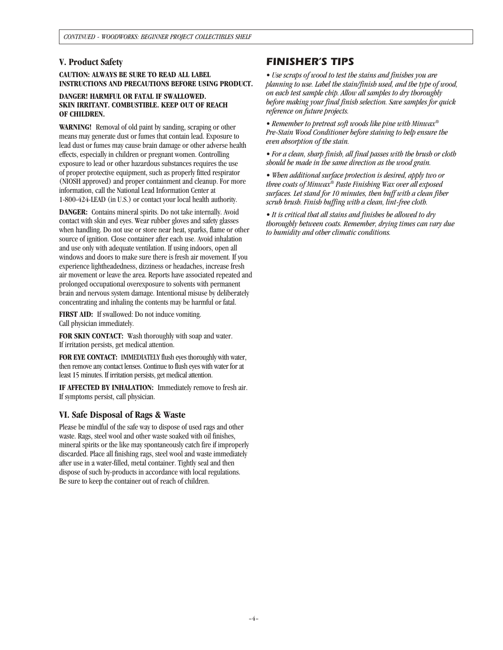### **V. Product Safety**

**CAUTION: ALWAYS BE SURE TO READ ALL LABEL INSTRUCTIONS AND PRECAUTIONS BEFORE USING PRODUCT.**

#### **DANGER! HARMFUL OR FATAL IF SWALLOWED. SKIN IRRITANT. COMBUSTIBLE. KEEP OUT OF REACH OF CHILDREN.**

**WARNING!** Removal of old paint by sanding, scraping or other means may generate dust or fumes that contain lead. Exposure to lead dust or fumes may cause brain damage or other adverse health effects, especially in children or pregnant women. Controlling exposure to lead or other hazardous substances requires the use of proper protective equipment, such as properly fitted respirator (NIOSH approved) and proper containment and cleanup. For more information, call the National Lead Information Center at 1-800-424-LEAD (in U.S.) or contact your local health authority.

**DANGER:** Contains mineral spirits. Do not take internally. Avoid contact with skin and eyes. Wear rubber gloves and safety glasses when handling. Do not use or store near heat, sparks, flame or other source of ignition. Close container after each use. Avoid inhalation and use only with adequate ventilation. If using indoors, open all windows and doors to make sure there is fresh air movement. If you experience lightheadedness, dizziness or headaches, increase fresh air movement or leave the area. Reports have associated repeated and prolonged occupational overexposure to solvents with permanent brain and nervous system damage. Intentional misuse by deliberately concentrating and inhaling the contents may be harmful or fatal.

**FIRST AID:** If swallowed: Do not induce vomiting. Call physician immediately.

**FOR SKIN CONTACT:** Wash thoroughly with soap and water. If irritation persists, get medical attention.

**FOR EYE CONTACT:** IMMEDIATELY flush eyes thoroughly with water, then remove any contact lenses. Continue to flush eyes with water for at least 15 minutes. If irritation persists, get medical attention.

**IF AFFECTED BY INHALATION:** Immediately remove to fresh air. If symptoms persist, call physician.

### **VI. Safe Disposal of Rags & Waste**

Please be mindful of the safe way to dispose of used rags and other waste. Rags, steel wool and other waste soaked with oil finishes, mineral spirits or the like may spontaneously catch fire if improperly discarded. Place all finishing rags, steel wool and waste immediately after use in a water-filled, metal container. Tightly seal and then dispose of such by-products in accordance with local regulations. Be sure to keep the container out of reach of children.

### *FINISHER'S TIPS*

*• Use scraps of wood to test the stains and finishes you are planning to use. Label the stain/finish used, and the type of wood, on each test sample chip. Allow all samples to dry thoroughly before making your final finish selection. Save samples for quick reference on future projects.*

*• Remember to pretreat soft woods like pine with Minwax® Pre-Stain Wood Conditioner before staining to help ensure the even absorption of the stain.*

*• For a clean, sharp finish, all final passes with the brush or cloth should be made in the same direction as the wood grain.*

*• When additional surface protection is desired, apply two or three coats of Minwax® Paste Finishing Wax over all exposed surfaces. Let stand for 10 minutes, then buff with a clean fiber scrub brush. Finish buffing with a clean, lint-free cloth.*

*• It is critical that all stains and finishes be allowed to dry thoroughly between coats. Remember, drying times can vary due to humidity and other climatic conditions.*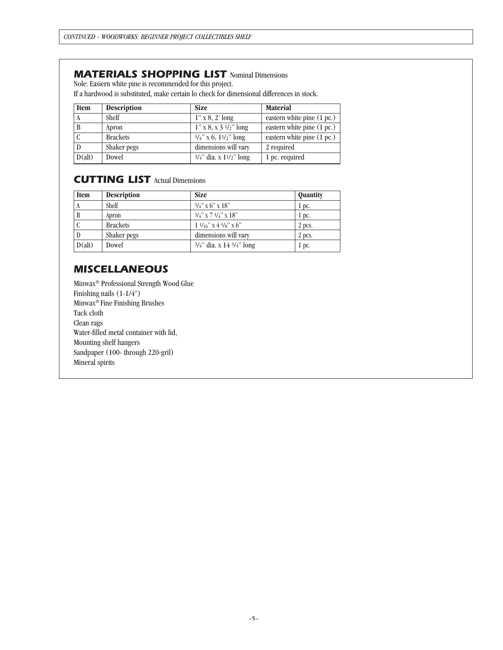### *MATERIALS SHOPPING LIST* Nominal Dimensions

Nole: Easiern white pine is recommended for this project.

If a hardwood is substituted, make certain lo check for dimensional differences in stock.

| <b>Item</b> | <b>Description</b> | <b>Size</b>                  | <b>Material</b>              |  |
|-------------|--------------------|------------------------------|------------------------------|--|
|             | Shelf              | $1''$ x 8, 2' long           | eastern white pine $(1 pc.)$ |  |
|             | Apron              | $1''$ x 8, x 3 $1/2''$ long  | eastern white pine (1 pc.)   |  |
| л.          | <b>Brackets</b>    | $5/4$ " x 6, $11/2$ " long   | eastern white pine (1 pc.)   |  |
|             | Shaker pegs        | dimensions will vary         | 2 required                   |  |
| D(alt)      | Dowel              | $3/4$ " dia. x $11/2$ " long | 1 pc. required               |  |

## *CUTTING LIST* Actual Dimensions

| <b>Item</b> | <b>Description</b> | <b>Size</b>                               | Quantity |
|-------------|--------------------|-------------------------------------------|----------|
|             | Shelf              | $3/4$ " x 6" x 18"                        | 1 pc.    |
|             | Apron              | $3/4$ " x 7 $1/4$ " x 18"                 | 1 pc.    |
|             | <b>Brackets</b>    | $1\frac{1}{16}$ " x $4\frac{5}{8}$ " x 6" | 2 pcs.   |
|             | Shaker pegs        | dimensions will vary                      | 2 pcs.   |
| D(alt)      | Dowel              | $3/4$ " dia. x 14 $3/4$ " long            | 1 pc.    |

## *MISCELLANEOUS*

Minwax® Professional Strength Wood Glue Finishing nails (1-1/4") Minwax® Fine Finishing Brushes Tack cloth Clean rags Water-filled metal container with lid, Mounting shelf hangers Sandpaper (100- through 220-gril) Mineral spirits